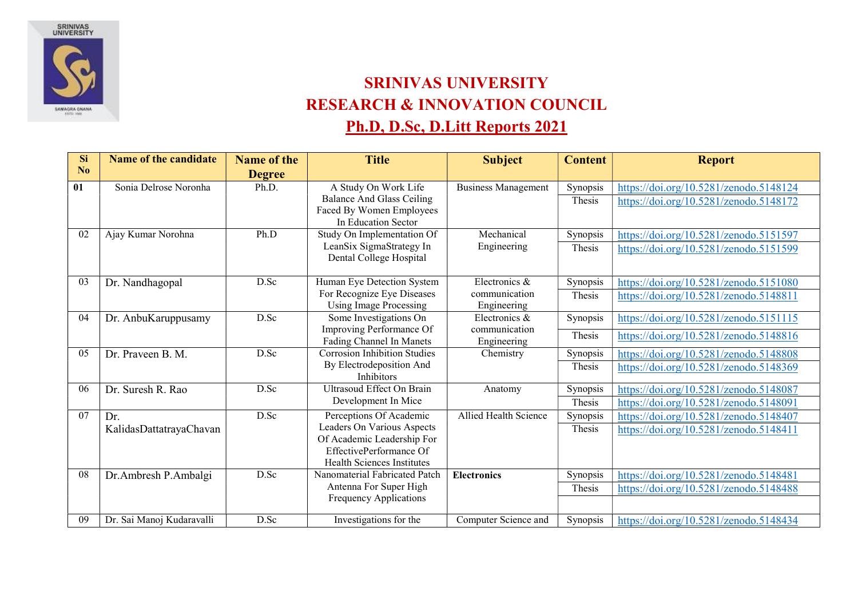

## SRINIVAS UNIVERSITY RESEARCH & INNOVATION COUNCIL Ph.D, D.Sc, D.Litt Reports 2021

| <b>Si</b>      | <b>Name of the candidate</b> | <b>Name of the</b> | <b>Title</b>                                          | <b>Subject</b>                 | <b>Content</b> | <b>Report</b>                          |
|----------------|------------------------------|--------------------|-------------------------------------------------------|--------------------------------|----------------|----------------------------------------|
| N <sub>0</sub> |                              | <b>Degree</b>      |                                                       |                                |                |                                        |
| 01             | Sonia Delrose Noronha        | Ph.D.              | A Study On Work Life                                  | <b>Business Management</b>     | Synopsis       | https://doi.org/10.5281/zenodo.5148124 |
|                |                              |                    | Balance And Glass Ceiling                             |                                | Thesis         | https://doi.org/10.5281/zenodo.5148172 |
|                |                              |                    | Faced By Women Employees<br>In Education Sector       |                                |                |                                        |
| 02             | Ajay Kumar Norohna           | Ph.D               | Study On Implementation Of                            | Mechanical                     | Synopsis       | https://doi.org/10.5281/zenodo.5151597 |
|                |                              |                    | LeanSix SigmaStrategy In                              | Engineering                    | Thesis         | https://doi.org/10.5281/zenodo.5151599 |
|                |                              |                    | Dental College Hospital                               |                                |                |                                        |
| 03             | Dr. Nandhagopal              | D.Sc               | Human Eye Detection System                            | Electronics &                  | Synopsis       | https://doi.org/10.5281/zenodo.5151080 |
|                |                              |                    | For Recognize Eye Diseases                            | communication                  | Thesis         | https://doi.org/10.5281/zenodo.5148811 |
|                |                              |                    | <b>Using Image Processing</b>                         | Engineering                    |                |                                        |
| 04             | Dr. AnbuKaruppusamy          | D.Sc               | Some Investigations On<br>Improving Performance Of    | Electronics &<br>communication | Synopsis       | https://doi.org/10.5281/zenodo.5151115 |
|                |                              |                    | Fading Channel In Manets                              | Engineering                    | Thesis         | https://doi.org/10.5281/zenodo.5148816 |
| 05             | Dr. Praveen B. M.            | D.Sc               | <b>Corrosion Inhibition Studies</b>                   | Chemistry                      | Synopsis       | https://doi.org/10.5281/zenodo.5148808 |
|                |                              |                    | By Electrodeposition And                              |                                | Thesis         | https://doi.org/10.5281/zenodo.5148369 |
|                |                              |                    | Inhibitors                                            |                                |                |                                        |
| 06             | Dr. Suresh R. Rao            | D.Sc               | Ultrasoud Effect On Brain<br>Development In Mice      | Anatomy                        | Synopsis       | https://doi.org/10.5281/zenodo.5148087 |
|                |                              |                    |                                                       |                                | Thesis         | https://doi.org/10.5281/zenodo.5148091 |
| 07             | Dr.                          | D.Sc               | Perceptions Of Academic<br>Leaders On Various Aspects | Allied Health Science          | Synopsis       | https://doi.org/10.5281/zenodo.5148407 |
|                | KalidasDattatrayaChavan      |                    | Of Academic Leadership For                            |                                | Thesis         | https://doi.org/10.5281/zenodo.5148411 |
|                |                              |                    | EffectivePerformance Of                               |                                |                |                                        |
|                |                              |                    | <b>Health Sciences Institutes</b>                     |                                |                |                                        |
| 08             | Dr.Ambresh P.Ambalgi         | D.Sc               | Nanomaterial Fabricated Patch                         | <b>Electronics</b>             | Synopsis       | https://doi.org/10.5281/zenodo.5148481 |
|                |                              |                    | Antenna For Super High                                |                                | Thesis         | https://doi.org/10.5281/zenodo.5148488 |
|                |                              |                    | Frequency Applications                                |                                |                |                                        |
| 09             | Dr. Sai Manoj Kudaravalli    | D.Sc               | Investigations for the                                | Computer Science and           | Synopsis       | https://doi.org/10.5281/zenodo.5148434 |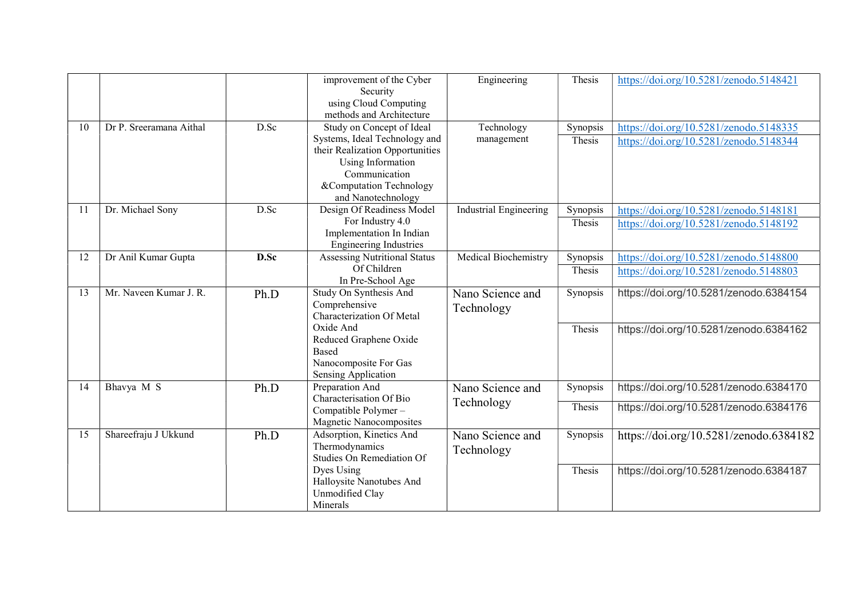|    |                         |      | improvement of the Cyber<br>Security<br>using Cloud Computing<br>methods and Architecture                                                                                            | Engineering                    | Thesis             | https://doi.org/10.5281/zenodo.5148421                                           |
|----|-------------------------|------|--------------------------------------------------------------------------------------------------------------------------------------------------------------------------------------|--------------------------------|--------------------|----------------------------------------------------------------------------------|
| 10 | Dr P. Sreeramana Aithal | D.Sc | Study on Concept of Ideal<br>Systems, Ideal Technology and<br>their Realization Opportunities<br>Using Information<br>Communication<br>&Computation Technology<br>and Nanotechnology | Technology<br>management       | Synopsis<br>Thesis | https://doi.org/10.5281/zenodo.5148335<br>https://doi.org/10.5281/zenodo.5148344 |
| 11 | Dr. Michael Sony        | D.Sc | Design Of Readiness Model<br>For Industry 4.0<br>Implementation In Indian<br><b>Engineering Industries</b>                                                                           | <b>Industrial Engineering</b>  | Synopsis<br>Thesis | https://doi.org/10.5281/zenodo.5148181<br>https://doi.org/10.5281/zenodo.5148192 |
| 12 | Dr Anil Kumar Gupta     | D.Sc | <b>Assessing Nutritional Status</b><br>Of Children<br>In Pre-School Age                                                                                                              | Medical Biochemistry           | Synopsis<br>Thesis | https://doi.org/10.5281/zenodo.5148800<br>https://doi.org/10.5281/zenodo.5148803 |
| 13 | Mr. Naveen Kumar J. R.  | Ph.D | Study On Synthesis And<br>Comprehensive<br>Characterization Of Metal                                                                                                                 | Nano Science and<br>Technology | Synopsis           | https://doi.org/10.5281/zenodo.6384154                                           |
|    |                         |      | Oxide And<br>Reduced Graphene Oxide<br>Based<br>Nanocomposite For Gas<br>Sensing Application                                                                                         |                                | Thesis             | https://doi.org/10.5281/zenodo.6384162                                           |
| 14 | Bhavya M S              | Ph.D | Preparation And<br>Characterisation Of Bio                                                                                                                                           | Nano Science and<br>Technology | Synopsis           | https://doi.org/10.5281/zenodo.6384170                                           |
|    |                         |      | Compatible Polymer-<br>Magnetic Nanocomposites                                                                                                                                       |                                | Thesis             | https://doi.org/10.5281/zenodo.6384176                                           |
| 15 | Shareefraju J Ukkund    | Ph.D | Adsorption, Kinetics And<br>Thermodynamics<br>Studies On Remediation Of                                                                                                              | Nano Science and<br>Technology | Synopsis           | https://doi.org/10.5281/zenodo.6384182                                           |
|    |                         |      | Dyes Using<br>Halloysite Nanotubes And<br>Unmodified Clay<br>Minerals                                                                                                                |                                | Thesis             | https://doi.org/10.5281/zenodo.6384187                                           |